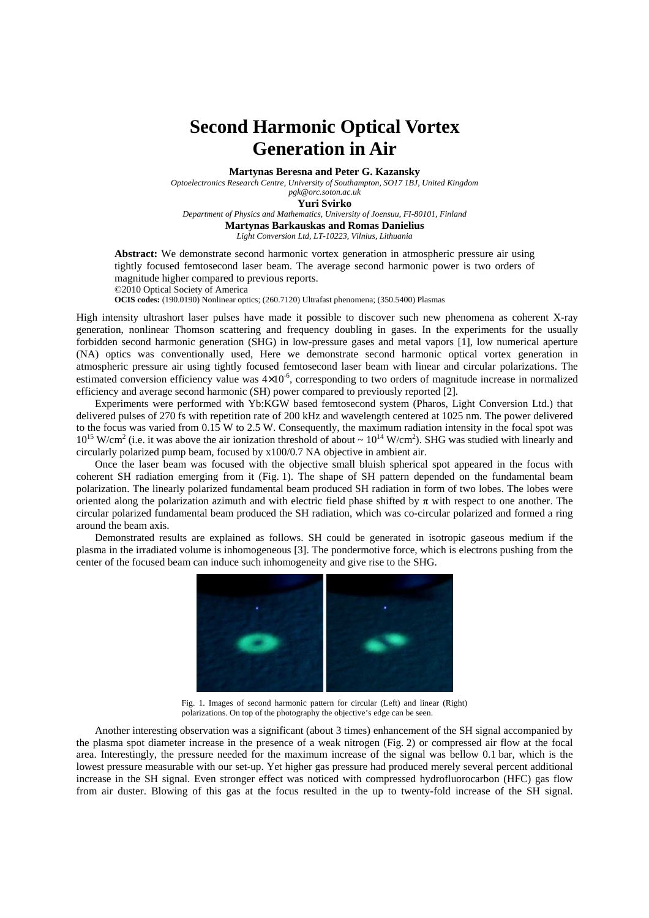## **Second Harmonic Optical Vortex Generation in Air**

**Martynas Beresna and Peter G. Kazansky** 

*Optoelectronics Research Centre, University of Southampton, SO17 1BJ, United Kingdom* 

*pgk@orc.soton.ac.uk* 

**Yuri Svirko** 

*Department of Physics and Mathematics, University of Joensuu, FI-80101, Finland*  **Martynas Barkauskas and Romas Danielius**  *Light Conversion Ltd, LT-10223, Vilnius, Lithuania* 

**Abstract:** We demonstrate second harmonic vortex generation in atmospheric pressure air using tightly focused femtosecond laser beam. The average second harmonic power is two orders of magnitude higher compared to previous reports. ©2010 Optical Society of America **OCIS codes:** (190.0190) Nonlinear optics; (260.7120) Ultrafast phenomena; (350.5400) Plasmas

High intensity ultrashort laser pulses have made it possible to discover such new phenomena as coherent X-ray generation, nonlinear Thomson scattering and frequency doubling in gases. In the experiments for the usually forbidden second harmonic generation (SHG) in low-pressure gases and metal vapors [1], low numerical aperture (NA) optics was conventionally used, Here we demonstrate second harmonic optical vortex generation in atmospheric pressure air using tightly focused femtosecond laser beam with linear and circular polarizations. The estimated conversion efficiency value was  $4\times10^{-6}$ , corresponding to two orders of magnitude increase in normalized efficiency and average second harmonic (SH) power compared to previously reported [2].

Experiments were performed with Yb:KGW based femtosecond system (Pharos, Light Conversion Ltd.) that delivered pulses of 270 fs with repetition rate of 200 kHz and wavelength centered at 1025 nm. The power delivered to the focus was varied from 0.15 W to 2.5 W. Consequently, the maximum radiation intensity in the focal spot was  $10^{15}$  W/cm<sup>2</sup> (i.e. it was above the air ionization threshold of about  $\sim 10^{14}$  W/cm<sup>2</sup>). SHG was studied with linearly and circularly polarized pump beam, focused by x100/0.7 NA objective in ambient air.

Once the laser beam was focused with the objective small bluish spherical spot appeared in the focus with coherent SH radiation emerging from it (Fig. 1). The shape of SH pattern depended on the fundamental beam polarization. The linearly polarized fundamental beam produced SH radiation in form of two lobes. The lobes were oriented along the polarization azimuth and with electric field phase shifted by  $\pi$  with respect to one another. The circular polarized fundamental beam produced the SH radiation, which was co-circular polarized and formed a ring around the beam axis.

Demonstrated results are explained as follows. SH could be generated in isotropic gaseous medium if the plasma in the irradiated volume is inhomogeneous [3]. The pondermotive force, which is electrons pushing from the center of the focused beam can induce such inhomogeneity and give rise to the SHG.



Fig. 1. Images of second harmonic pattern for circular (Left) and linear (Right) polarizations. On top of the photography the objective's edge can be seen.

Another interesting observation was a significant (about 3 times) enhancement of the SH signal accompanied by the plasma spot diameter increase in the presence of a weak nitrogen (Fig. 2) or compressed air flow at the focal area. Interestingly, the pressure needed for the maximum increase of the signal was bellow 0.1 bar, which is the lowest pressure measurable with our set-up. Yet higher gas pressure had produced merely several percent additional increase in the SH signal. Even stronger effect was noticed with compressed hydrofluorocarbon (HFC) gas flow from air duster. Blowing of this gas at the focus resulted in the up to twenty-fold increase of the SH signal.